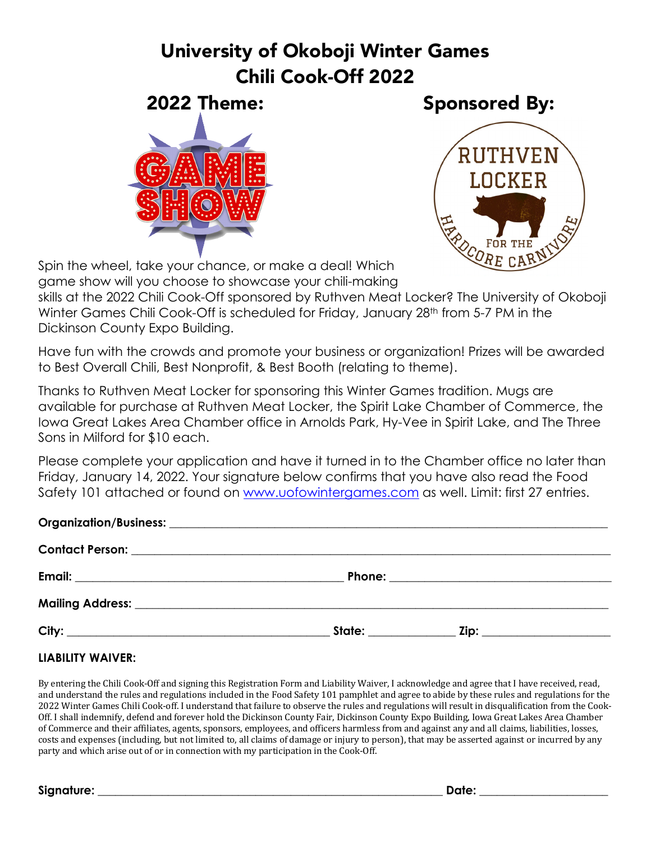## University of Okoboji Winter Games Chili Cook-Off 2022







Spin the wheel, take your chance, or make a deal! Which game show will you choose to showcase your chili-making

skills at the 2022 Chili Cook-Off sponsored by Ruthven Meat Locker? The University of Okoboji Winter Games Chili Cook-Off is scheduled for Friday, January 28<sup>th</sup> from 5-7 PM in the Dickinson County Expo Building.

Have fun with the crowds and promote your business or organization! Prizes will be awarded to Best Overall Chili, Best Nonprofit, & Best Booth (relating to theme).

Thanks to Ruthven Meat Locker for sponsoring this Winter Games tradition. Mugs are available for purchase at Ruthven Meat Locker, the Spirit Lake Chamber of Commerce, the Iowa Great Lakes Area Chamber office in Arnolds Park, Hy-Vee in Spirit Lake, and The Three Sons in Milford for \$10 each.

Please complete your application and have it turned in to the Chamber office no later than Friday, January 14, 2022. Your signature below confirms that you have also read the Food Safety 101 attached or found on www.uofowintergames.com as well. Limit: first 27 entries.

### **LIABILITY WAIVER:**

By entering the Chili Cook-Off and signing this Registration Form and Liability Waiver, I acknowledge and agree that I have received, read, and understand the rules and regulations included in the Food Safety 101 pamphlet and agree to abide by these rules and regulations for the 2022 Winter Games Chili Cook-off. I understand that failure to observe the rules and regulations will result in disqualification from the Cook-Off. I shall indemnify, defend and forever hold the Dickinson County Fair, Dickinson County Expo Building, Iowa Great Lakes Area Chamber of Commerce and their affiliates, agents, sponsors, employees, and officers harmless from and against any and all claims, liabilities, losses, costs and expenses (including, but not limited to, all claims of damage or injury to person), that may be asserted against or incurred by any party and which arise out of or in connection with my participation in the Cook-Off.